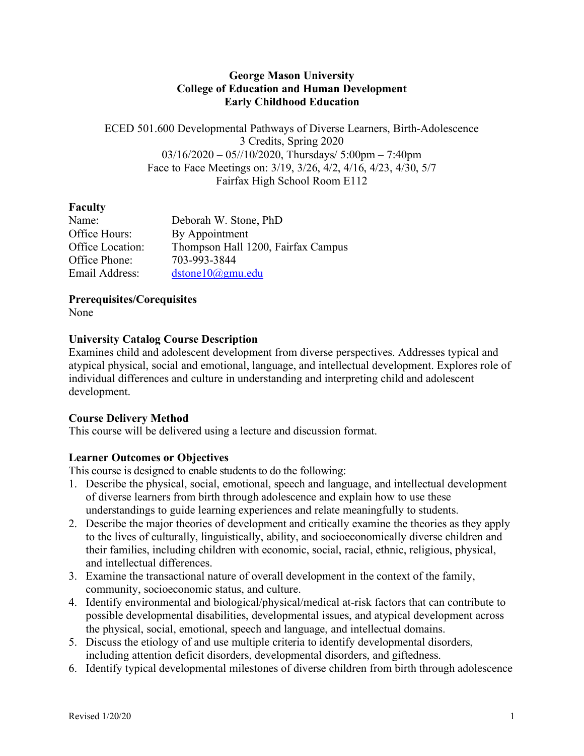#### **George Mason University College of Education and Human Development Early Childhood Education**

ECED 501.600 Developmental Pathways of Diverse Learners, Birth-Adolescence 3 Credits, Spring 2020  $03/16/2020 - 05/10/2020$ , Thursdays/ 5:00pm – 7:40pm Face to Face Meetings on: 3/19, 3/26, 4/2, 4/16, 4/23, 4/30, 5/7 Fairfax High School Room E112

## **Faculty**

| Name:            | Deborah W. Stone, PhD              |
|------------------|------------------------------------|
| Office Hours:    | By Appointment                     |
| Office Location: | Thompson Hall 1200, Fairfax Campus |
| Office Phone:    | 703-993-3844                       |
| Email Address:   | dstone10@gmu.edu                   |

**Prerequisites/Corequisites**

None

## **University Catalog Course Description**

Examines child and adolescent development from diverse perspectives. Addresses typical and atypical physical, social and emotional, language, and intellectual development. Explores role of individual differences and culture in understanding and interpreting child and adolescent development.

# **Course Delivery Method**

This course will be delivered using a lecture and discussion format.

# **Learner Outcomes or Objectives**

This course is designed to enable students to do the following:

- 1. Describe the physical, social, emotional, speech and language, and intellectual development of diverse learners from birth through adolescence and explain how to use these understandings to guide learning experiences and relate meaningfully to students.
- 2. Describe the major theories of development and critically examine the theories as they apply to the lives of culturally, linguistically, ability, and socioeconomically diverse children and their families, including children with economic, social, racial, ethnic, religious, physical, and intellectual differences.
- 3. Examine the transactional nature of overall development in the context of the family, community, socioeconomic status, and culture.
- 4. Identify environmental and biological/physical/medical at-risk factors that can contribute to possible developmental disabilities, developmental issues, and atypical development across the physical, social, emotional, speech and language, and intellectual domains.
- 5. Discuss the etiology of and use multiple criteria to identify developmental disorders, including attention deficit disorders, developmental disorders, and giftedness.
- 6. Identify typical developmental milestones of diverse children from birth through adolescence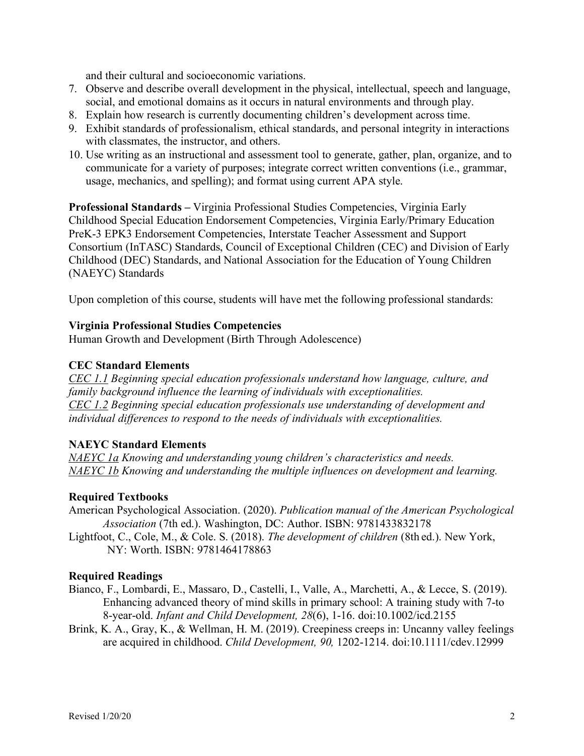and their cultural and socioeconomic variations.

- 7. Observe and describe overall development in the physical, intellectual, speech and language, social, and emotional domains as it occurs in natural environments and through play.
- 8. Explain how research is currently documenting children's development across time.
- 9. Exhibit standards of professionalism, ethical standards, and personal integrity in interactions with classmates, the instructor, and others.
- 10. Use writing as an instructional and assessment tool to generate, gather, plan, organize, and to communicate for a variety of purposes; integrate correct written conventions (i.e., grammar, usage, mechanics, and spelling); and format using current APA style.

**Professional Standards –** Virginia Professional Studies Competencies, Virginia Early Childhood Special Education Endorsement Competencies, Virginia Early/Primary Education PreK-3 EPK3 Endorsement Competencies, Interstate Teacher Assessment and Support Consortium (InTASC) Standards, Council of Exceptional Children (CEC) and Division of Early Childhood (DEC) Standards, and National Association for the Education of Young Children (NAEYC) Standards

Upon completion of this course, students will have met the following professional standards:

#### **Virginia Professional Studies Competencies**

Human Growth and Development (Birth Through Adolescence)

#### **CEC Standard Elements**

*CEC 1.1 Beginning special education professionals understand how language, culture, and family background influence the learning of individuals with exceptionalities. CEC 1.2 Beginning special education professionals use understanding of development and individual differences to respond to the needs of individuals with exceptionalities.*

#### **NAEYC Standard Elements**

*NAEYC 1a Knowing and understanding young children's characteristics and needs. NAEYC 1b Knowing and understanding the multiple influences on development and learning.*

#### **Required Textbooks**

American Psychological Association. (2020). *Publication manual of the American Psychological Association* (7th ed.). Washington, DC: Author. ISBN: 9781433832178

Lightfoot, C., Cole, M., & Cole. S. (2018). *The development of children* (8th ed.). New York, NY: Worth. ISBN: 9781464178863

#### **Required Readings**

- Bianco, F., Lombardi, E., Massaro, D., Castelli, I., Valle, A., Marchetti, A., & Lecce, S. (2019). Enhancing advanced theory of mind skills in primary school: A training study with 7-to 8-year-old. *Infant and Child Development, 28*(6), 1-16. doi:10.1002/icd.2155
- Brink, K. A., Gray, K., & Wellman, H. M. (2019). Creepiness creeps in: Uncanny valley feelings are acquired in childhood. *Child Development, 90,* 1202-1214. doi:10.1111/cdev.12999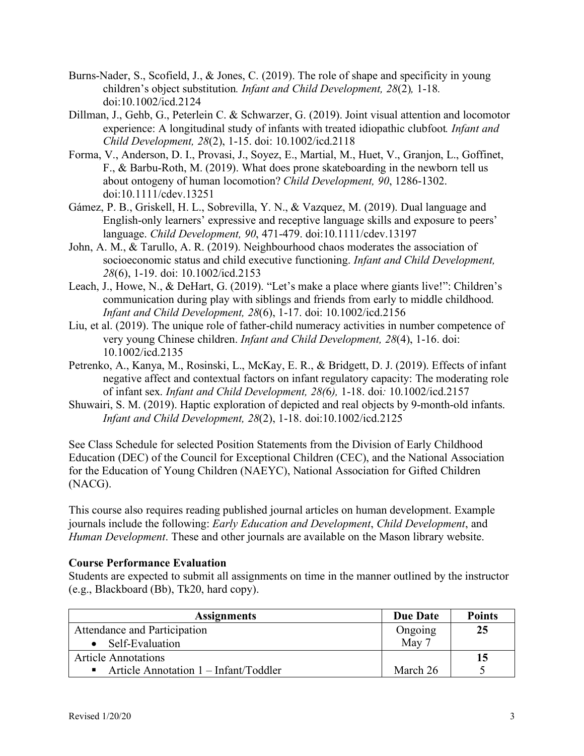- Burns-Nader, S., Scofield, J., & Jones, C. (2019). The role of shape and specificity in young children's object substitution*. Infant and Child Development, 28*(2)*,* 1-18*.*  doi:10.1002/icd.2124
- Dillman, J., Gehb, G., Peterlein C. & Schwarzer, G. (2019). Joint visual attention and locomotor experience: A longitudinal study of infants with treated idiopathic clubfoot*. Infant and Child Development, 28*(2), 1-15. doi: 10.1002/icd.2118
- Forma, V., Anderson, D. I., Provasi, J., Soyez, E., Martial, M., Huet, V., Granjon, L., Goffinet, F., & Barbu-Roth, M. (2019). What does prone skateboarding in the newborn tell us about ontogeny of human locomotion? *Child Development, 90*, 1286-1302. doi:10.1111/cdev.13251
- Gámez, P. B., Griskell, H. L., Sobrevilla, Y. N., & Vazquez, M. (2019). Dual language and English-only learners' expressive and receptive language skills and exposure to peers' language. *Child Development, 90*, 471-479. doi:10.1111/cdev.13197
- John, A. M., & Tarullo, A. R. (2019). Neighbourhood chaos moderates the association of socioeconomic status and child executive functioning. *Infant and Child Development, 28*(6), 1-19. doi: 10.1002/icd.2153
- Leach, J., Howe, N., & DeHart, G. (2019). "Let's make a place where giants live!": Children's communication during play with siblings and friends from early to middle childhood. *Infant and Child Development, 28*(6), 1-17. doi: 10.1002/icd.2156
- Liu, et al. (2019). The unique role of father-child numeracy activities in number competence of very young Chinese children. *Infant and Child Development, 28*(4), 1-16. doi: 10.1002/icd.2135
- Petrenko, A., Kanya, M., Rosinski, L., McKay, E. R., & Bridgett, D. J. (2019). Effects of infant negative affect and contextual factors on infant regulatory capacity: The moderating role of infant sex. *Infant and Child Development, 28(*6*),* 1-18. doi*:* 10.1002/icd.2157
- Shuwairi, S. M. (2019). Haptic exploration of depicted and real objects by 9-month-old infants. *Infant and Child Development, 28*(2), 1-18. doi:10.1002/icd.2125

See Class Schedule for selected Position Statements from the Division of Early Childhood Education (DEC) of the Council for Exceptional Children (CEC), and the National Association for the Education of Young Children (NAEYC), National Association for Gifted Children (NACG).

This course also requires reading published journal articles on human development. Example journals include the following: *Early Education and Development*, *Child Development*, and *Human Development*. These and other journals are available on the Mason library website.

## **Course Performance Evaluation**

Students are expected to submit all assignments on time in the manner outlined by the instructor (e.g., Blackboard (Bb), Tk20, hard copy).

| <b>Assignments</b>                                      | <b>Due Date</b> | <b>Points</b> |
|---------------------------------------------------------|-----------------|---------------|
| Attendance and Participation                            | Ongoing         | 25            |
| Self-Evaluation                                         | May 7           |               |
| <b>Article Annotations</b>                              |                 | 15            |
| Article Annotation 1 – Infant/Toddler<br>$\blacksquare$ | March 26        |               |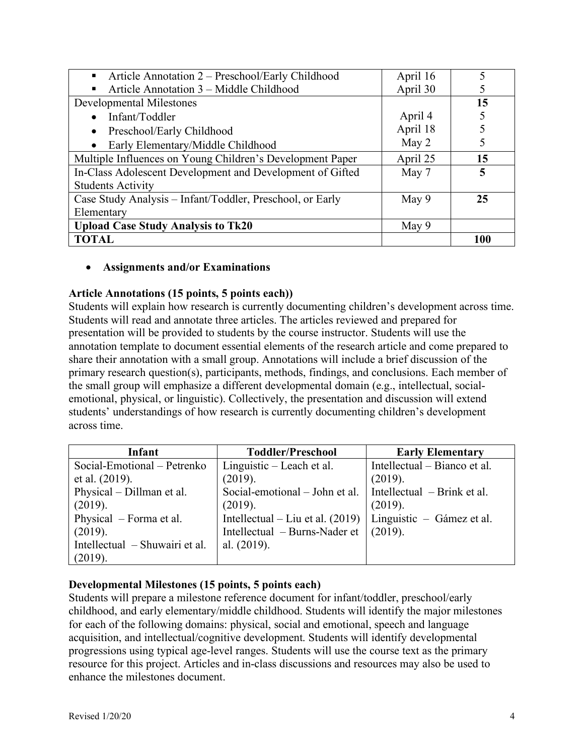| Article Annotation 2 – Preschool/Early Childhood<br>$\blacksquare$ | April 16 |     |
|--------------------------------------------------------------------|----------|-----|
| Article Annotation 3 – Middle Childhood<br>п                       | April 30 |     |
| <b>Developmental Milestones</b>                                    |          | 15  |
| Infant/Toddler                                                     | April 4  |     |
| Preschool/Early Childhood<br>$\bullet$                             | April 18 |     |
| Early Elementary/Middle Childhood<br>$\bullet$                     | May 2    |     |
| Multiple Influences on Young Children's Development Paper          | April 25 | 15  |
| In-Class Adolescent Development and Development of Gifted          | May 7    | 5   |
| <b>Students Activity</b>                                           |          |     |
| Case Study Analysis – Infant/Toddler, Preschool, or Early          | May 9    | 25  |
| Elementary                                                         |          |     |
| <b>Upload Case Study Analysis to Tk20</b>                          | May 9    |     |
| <b>TOTAL</b>                                                       |          | 100 |

#### • **Assignments and/or Examinations**

#### **Article Annotations (15 points, 5 points each))**

Students will explain how research is currently documenting children's development across time. Students will read and annotate three articles. The articles reviewed and prepared for presentation will be provided to students by the course instructor. Students will use the annotation template to document essential elements of the research article and come prepared to share their annotation with a small group. Annotations will include a brief discussion of the primary research question(s), participants, methods, findings, and conclusions. Each member of the small group will emphasize a different developmental domain (e.g., intellectual, socialemotional, physical, or linguistic). Collectively, the presentation and discussion will extend students' understandings of how research is currently documenting children's development across time.

| Infant                         | <b>Toddler/Preschool</b>           | <b>Early Elementary</b>      |
|--------------------------------|------------------------------------|------------------------------|
| Social-Emotional – Petrenko    | Linguistic – Leach et al.          | Intellectual – Bianco et al. |
| et al. (2019).                 | (2019).                            | (2019).                      |
| Physical – Dillman et al.      | Social-emotional - John et al.     | Intellectual – Brink et al.  |
| (2019).                        | (2019).                            | (2019).                      |
| Physical – Forma et al.        | Intellectual – Liu et al. $(2019)$ | Linguistic – Gámez et al.    |
| (2019).                        | Intellectual – Burns-Nader et      | (2019).                      |
| Intellectual – Shuwairi et al. | al. $(2019)$ .                     |                              |
| (2019).                        |                                    |                              |

## **Developmental Milestones (15 points, 5 points each)**

Students will prepare a milestone reference document for infant/toddler, preschool/early childhood, and early elementary/middle childhood. Students will identify the major milestones for each of the following domains: physical, social and emotional, speech and language acquisition, and intellectual/cognitive development. Students will identify developmental progressions using typical age-level ranges. Students will use the course text as the primary resource for this project. Articles and in-class discussions and resources may also be used to enhance the milestones document.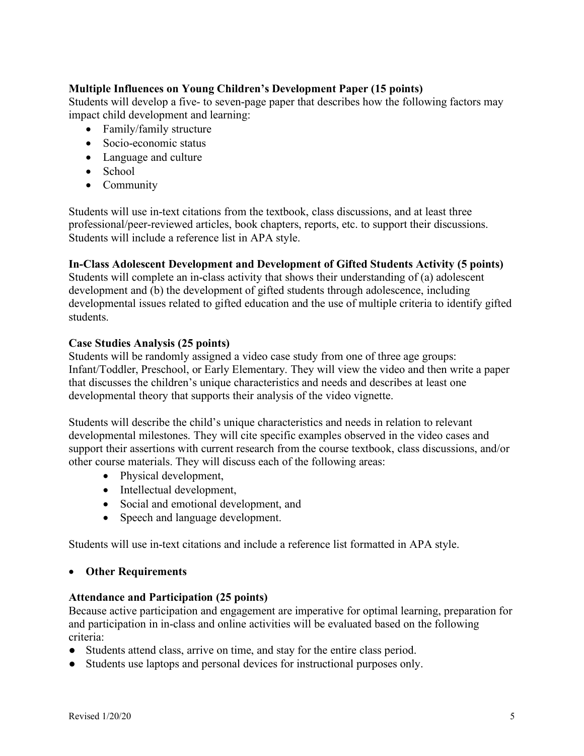## **Multiple Influences on Young Children's Development Paper (15 points)**

Students will develop a five- to seven-page paper that describes how the following factors may impact child development and learning:

- Family/family structure
- Socio-economic status
- Language and culture
- School
- Community

Students will use in-text citations from the textbook, class discussions, and at least three professional/peer-reviewed articles, book chapters, reports, etc. to support their discussions. Students will include a reference list in APA style.

#### **In-Class Adolescent Development and Development of Gifted Students Activity (5 points)**

Students will complete an in-class activity that shows their understanding of (a) adolescent development and (b) the development of gifted students through adolescence, including developmental issues related to gifted education and the use of multiple criteria to identify gifted students.

#### **Case Studies Analysis (25 points)**

Students will be randomly assigned a video case study from one of three age groups: Infant/Toddler, Preschool, or Early Elementary. They will view the video and then write a paper that discusses the children's unique characteristics and needs and describes at least one developmental theory that supports their analysis of the video vignette.

Students will describe the child's unique characteristics and needs in relation to relevant developmental milestones. They will cite specific examples observed in the video cases and support their assertions with current research from the course textbook, class discussions, and/or other course materials. They will discuss each of the following areas:

- Physical development,
- Intellectual development,
- Social and emotional development, and
- Speech and language development.

Students will use in-text citations and include a reference list formatted in APA style.

#### • **Other Requirements**

#### **Attendance and Participation (25 points)**

Because active participation and engagement are imperative for optimal learning, preparation for and participation in in-class and online activities will be evaluated based on the following criteria:

- Students attend class, arrive on time, and stay for the entire class period.
- Students use laptops and personal devices for instructional purposes only.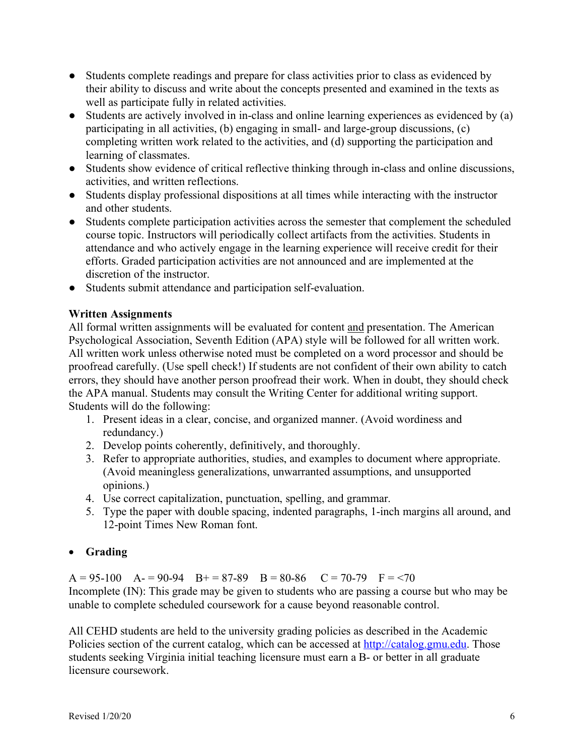- Students complete readings and prepare for class activities prior to class as evidenced by their ability to discuss and write about the concepts presented and examined in the texts as well as participate fully in related activities.
- Students are actively involved in in-class and online learning experiences as evidenced by (a) participating in all activities, (b) engaging in small- and large-group discussions, (c) completing written work related to the activities, and (d) supporting the participation and learning of classmates.
- Students show evidence of critical reflective thinking through in-class and online discussions, activities, and written reflections.
- Students display professional dispositions at all times while interacting with the instructor and other students.
- Students complete participation activities across the semester that complement the scheduled course topic. Instructors will periodically collect artifacts from the activities. Students in attendance and who actively engage in the learning experience will receive credit for their efforts. Graded participation activities are not announced and are implemented at the discretion of the instructor.
- Students submit attendance and participation self-evaluation.

# **Written Assignments**

All formal written assignments will be evaluated for content and presentation. The American Psychological Association, Seventh Edition (APA) style will be followed for all written work. All written work unless otherwise noted must be completed on a word processor and should be proofread carefully. (Use spell check!) If students are not confident of their own ability to catch errors, they should have another person proofread their work. When in doubt, they should check the APA manual. Students may consult the Writing Center for additional writing support. Students will do the following:

- 1. Present ideas in a clear, concise, and organized manner. (Avoid wordiness and redundancy.)
- 2. Develop points coherently, definitively, and thoroughly.
- 3. Refer to appropriate authorities, studies, and examples to document where appropriate. (Avoid meaningless generalizations, unwarranted assumptions, and unsupported opinions.)
- 4. Use correct capitalization, punctuation, spelling, and grammar.
- 5. Type the paper with double spacing, indented paragraphs, 1-inch margins all around, and 12-point Times New Roman font.

# • **Grading**

A = 95-100 A = 90-94 B + = 87-89 B = 80-86 C = 70-79 F = <70 Incomplete (IN): This grade may be given to students who are passing a course but who may be unable to complete scheduled coursework for a cause beyond reasonable control.

All CEHD students are held to the university grading policies as described in the Academic Policies section of the current catalog, which can be accessed at http://catalog.gmu.edu. Those students seeking Virginia initial teaching licensure must earn a B- or better in all graduate licensure coursework.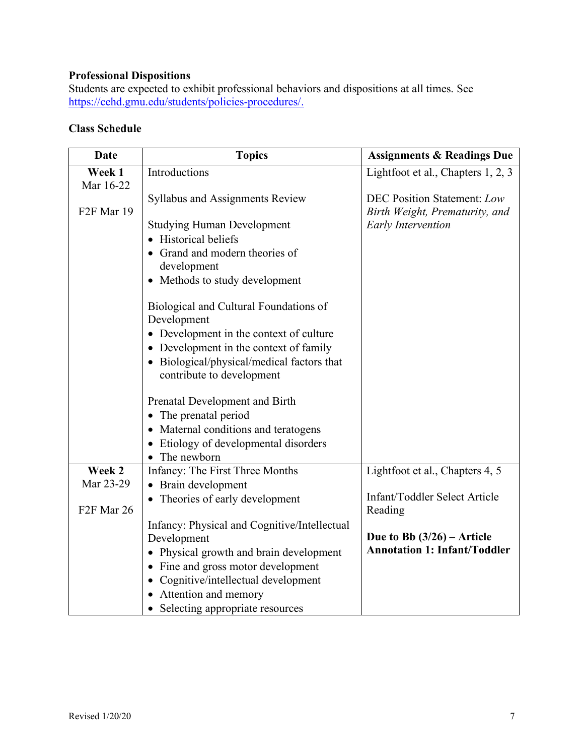# **Professional Dispositions**

Students are expected to exhibit professional behaviors and dispositions at all times. See https://cehd.gmu.edu/students/policies-procedures/.

# **Class Schedule**

| <b>Date</b>                       | <b>Topics</b>                                      | <b>Assignments &amp; Readings Due</b> |
|-----------------------------------|----------------------------------------------------|---------------------------------------|
| Week 1                            | Introductions                                      | Lightfoot et al., Chapters 1, 2, 3    |
| Mar 16-22                         |                                                    |                                       |
|                                   | Syllabus and Assignments Review                    | <b>DEC Position Statement: Low</b>    |
| F <sub>2F</sub> Mar 19            |                                                    | Birth Weight, Prematurity, and        |
|                                   | <b>Studying Human Development</b>                  | <b>Early Intervention</b>             |
|                                   | <b>Historical beliefs</b>                          |                                       |
|                                   | Grand and modern theories of                       |                                       |
|                                   | development                                        |                                       |
|                                   | • Methods to study development                     |                                       |
|                                   | Biological and Cultural Foundations of             |                                       |
|                                   | Development                                        |                                       |
|                                   | • Development in the context of culture            |                                       |
|                                   | • Development in the context of family             |                                       |
|                                   | • Biological/physical/medical factors that         |                                       |
|                                   | contribute to development                          |                                       |
|                                   |                                                    |                                       |
|                                   | Prenatal Development and Birth                     |                                       |
|                                   | The prenatal period                                |                                       |
|                                   | • Maternal conditions and teratogens               |                                       |
|                                   | Etiology of developmental disorders<br>The newborn |                                       |
| Week 2                            | Infancy: The First Three Months                    | Lightfoot et al., Chapters 4, 5       |
| Mar 23-29                         | Brain development                                  |                                       |
|                                   | • Theories of early development                    | Infant/Toddler Select Article         |
| F <sub>2F</sub> Mar <sub>26</sub> |                                                    | Reading                               |
|                                   | Infancy: Physical and Cognitive/Intellectual       |                                       |
|                                   | Development                                        | Due to Bb $(3/26)$ – Article          |
|                                   | • Physical growth and brain development            | <b>Annotation 1: Infant/Toddler</b>   |
|                                   | • Fine and gross motor development                 |                                       |
|                                   | • Cognitive/intellectual development               |                                       |
|                                   | • Attention and memory                             |                                       |
|                                   | • Selecting appropriate resources                  |                                       |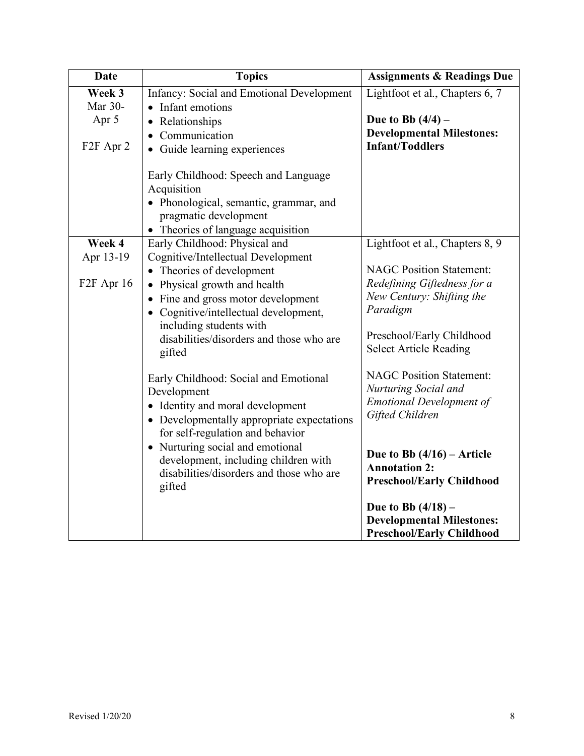| <b>Date</b>                       | <b>Topics</b>                                                                                                                                                | <b>Assignments &amp; Readings Due</b>                                                        |
|-----------------------------------|--------------------------------------------------------------------------------------------------------------------------------------------------------------|----------------------------------------------------------------------------------------------|
| Week 3                            | Infancy: Social and Emotional Development                                                                                                                    | Lightfoot et al., Chapters 6, 7                                                              |
| Mar 30-                           | Infant emotions<br>$\bullet$                                                                                                                                 |                                                                                              |
| Apr 5                             | Relationships<br>$\bullet$                                                                                                                                   | Due to Bb $(4/4)$ –                                                                          |
|                                   | • Communication                                                                                                                                              | <b>Developmental Milestones:</b>                                                             |
| F <sub>2F</sub> Apr <sub>2</sub>  | • Guide learning experiences                                                                                                                                 | <b>Infant/Toddlers</b>                                                                       |
|                                   | Early Childhood: Speech and Language<br>Acquisition<br>• Phonological, semantic, grammar, and<br>pragmatic development<br>• Theories of language acquisition |                                                                                              |
| Week 4                            | Early Childhood: Physical and                                                                                                                                | Lightfoot et al., Chapters 8, 9                                                              |
| Apr 13-19                         | Cognitive/Intellectual Development                                                                                                                           |                                                                                              |
|                                   | Theories of development                                                                                                                                      | <b>NAGC Position Statement:</b>                                                              |
| F <sub>2F</sub> Apr <sub>16</sub> | Physical growth and health                                                                                                                                   | Redefining Giftedness for a                                                                  |
|                                   | • Fine and gross motor development                                                                                                                           | New Century: Shifting the                                                                    |
|                                   | • Cognitive/intellectual development,                                                                                                                        | Paradigm                                                                                     |
|                                   | including students with<br>disabilities/disorders and those who are<br>gifted                                                                                | Preschool/Early Childhood<br><b>Select Article Reading</b>                                   |
|                                   |                                                                                                                                                              |                                                                                              |
|                                   | Early Childhood: Social and Emotional                                                                                                                        | <b>NAGC Position Statement:</b>                                                              |
|                                   | Development                                                                                                                                                  | Nurturing Social and                                                                         |
|                                   | • Identity and moral development                                                                                                                             | <b>Emotional Development of</b>                                                              |
|                                   | • Developmentally appropriate expectations                                                                                                                   | Gifted Children                                                                              |
|                                   | for self-regulation and behavior                                                                                                                             |                                                                                              |
|                                   | • Nurturing social and emotional<br>development, including children with<br>disabilities/disorders and those who are<br>gifted                               | Due to Bb $(4/16)$ – Article<br><b>Annotation 2:</b><br><b>Preschool/Early Childhood</b>     |
|                                   |                                                                                                                                                              | Due to Bb $(4/18)$ –<br><b>Developmental Milestones:</b><br><b>Preschool/Early Childhood</b> |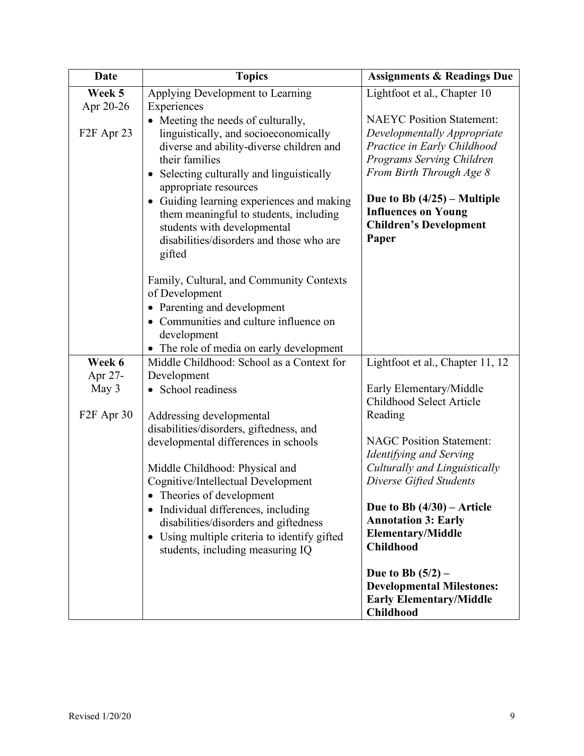| <b>Date</b>                       | <b>Topics</b>                                                                               | <b>Assignments &amp; Readings Due</b>                      |
|-----------------------------------|---------------------------------------------------------------------------------------------|------------------------------------------------------------|
| Week 5                            | Applying Development to Learning                                                            | Lightfoot et al., Chapter 10                               |
| Apr 20-26                         | Experiences                                                                                 |                                                            |
|                                   | • Meeting the needs of culturally,                                                          | <b>NAEYC Position Statement:</b>                           |
| F <sub>2F</sub> Apr <sub>23</sub> | linguistically, and socioeconomically                                                       | Developmentally Appropriate<br>Practice in Early Childhood |
|                                   | diverse and ability-diverse children and<br>their families                                  | Programs Serving Children                                  |
|                                   | Selecting culturally and linguistically                                                     | From Birth Through Age 8                                   |
|                                   | appropriate resources                                                                       |                                                            |
|                                   | Guiding learning experiences and making<br>$\bullet$                                        | Due to Bb $(4/25)$ – Multiple                              |
|                                   | them meaningful to students, including                                                      | <b>Influences on Young</b>                                 |
|                                   | students with developmental                                                                 | <b>Children's Development</b>                              |
|                                   | disabilities/disorders and those who are                                                    | Paper                                                      |
|                                   | gifted                                                                                      |                                                            |
|                                   | Family, Cultural, and Community Contexts                                                    |                                                            |
|                                   | of Development                                                                              |                                                            |
|                                   | • Parenting and development                                                                 |                                                            |
|                                   | • Communities and culture influence on                                                      |                                                            |
|                                   | development                                                                                 |                                                            |
|                                   | • The role of media on early development                                                    |                                                            |
| Week 6                            | Middle Childhood: School as a Context for                                                   | Lightfoot et al., Chapter 11, 12                           |
| Apr 27-                           | Development                                                                                 |                                                            |
| May 3                             | • School readiness                                                                          | Early Elementary/Middle                                    |
|                                   |                                                                                             | Childhood Select Article                                   |
| F <sub>2</sub> F Apr 30           | Addressing developmental<br>disabilities/disorders, giftedness, and                         | Reading                                                    |
|                                   | developmental differences in schools                                                        | <b>NAGC Position Statement:</b>                            |
|                                   |                                                                                             | Identifying and Serving                                    |
|                                   | Middle Childhood: Physical and                                                              | Culturally and Linguistically                              |
|                                   | Cognitive/Intellectual Development                                                          | Diverse Gifted Students                                    |
|                                   | Theories of development                                                                     |                                                            |
|                                   | • Individual differences, including                                                         | Due to Bb $(4/30)$ – Article                               |
|                                   | disabilities/disorders and giftedness                                                       | <b>Annotation 3: Early</b><br><b>Elementary/Middle</b>     |
|                                   | Using multiple criteria to identify gifted<br>$\bullet$<br>students, including measuring IQ | <b>Childhood</b>                                           |
|                                   |                                                                                             |                                                            |
|                                   |                                                                                             | Due to Bb $(5/2)$ –                                        |
|                                   |                                                                                             | <b>Developmental Milestones:</b>                           |
|                                   |                                                                                             | <b>Early Elementary/Middle</b>                             |
|                                   |                                                                                             | <b>Childhood</b>                                           |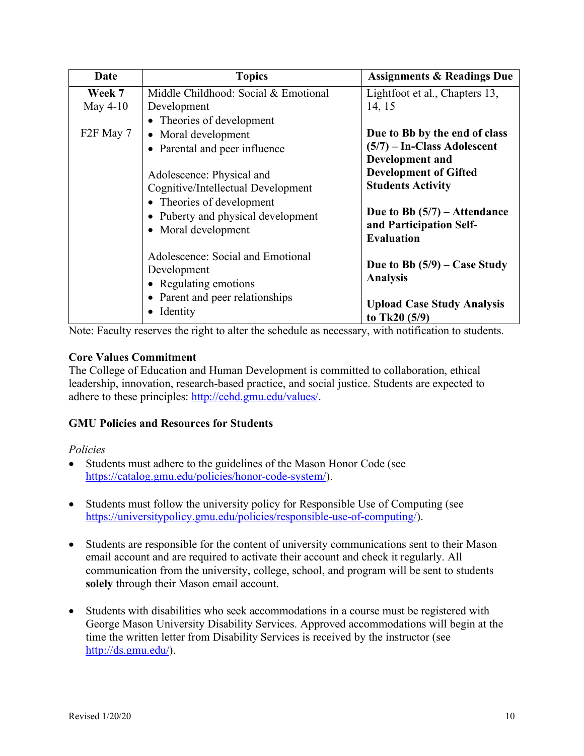| Date                   | <b>Topics</b>                        | <b>Assignments &amp; Readings Due</b>             |
|------------------------|--------------------------------------|---------------------------------------------------|
| Week 7                 | Middle Childhood: Social & Emotional | Lightfoot et al., Chapters 13,                    |
| May 4-10               | Development                          | 14, 15                                            |
|                        | • Theories of development            |                                                   |
| F <sub>2</sub> F May 7 | • Moral development                  | Due to Bb by the end of class                     |
|                        | Parental and peer influence          | $(5/7)$ – In-Class Adolescent                     |
|                        |                                      | Development and                                   |
|                        | Adolescence: Physical and            | <b>Development of Gifted</b>                      |
|                        | Cognitive/Intellectual Development   | <b>Students Activity</b>                          |
|                        | • Theories of development            |                                                   |
|                        | • Puberty and physical development   | Due to Bb $(5/7)$ – Attendance                    |
|                        | • Moral development                  | and Participation Self-                           |
|                        |                                      | <b>Evaluation</b>                                 |
|                        | Adolescence: Social and Emotional    |                                                   |
|                        | Development                          | Due to Bb $(5/9)$ – Case Study<br><b>Analysis</b> |
|                        | • Regulating emotions                |                                                   |
|                        | • Parent and peer relationships      | <b>Upload Case Study Analysis</b>                 |
|                        | Identity                             | to Tk20 $(5/9)$                                   |

Note: Faculty reserves the right to alter the schedule as necessary, with notification to students.

## **Core Values Commitment**

The College of Education and Human Development is committed to collaboration, ethical leadership, innovation, research-based practice, and social justice. Students are expected to adhere to these principles: http://cehd.gmu.edu/values/.

## **GMU Policies and Resources for Students**

## *Policies*

- Students must adhere to the guidelines of the Mason Honor Code (see https://catalog.gmu.edu/policies/honor-code-system/).
- Students must follow the university policy for Responsible Use of Computing (see https://universitypolicy.gmu.edu/policies/responsible-use-of-computing/).
- Students are responsible for the content of university communications sent to their Mason email account and are required to activate their account and check it regularly. All communication from the university, college, school, and program will be sent to students **solely** through their Mason email account.
- Students with disabilities who seek accommodations in a course must be registered with George Mason University Disability Services. Approved accommodations will begin at the time the written letter from Disability Services is received by the instructor (see http://ds.gmu.edu/).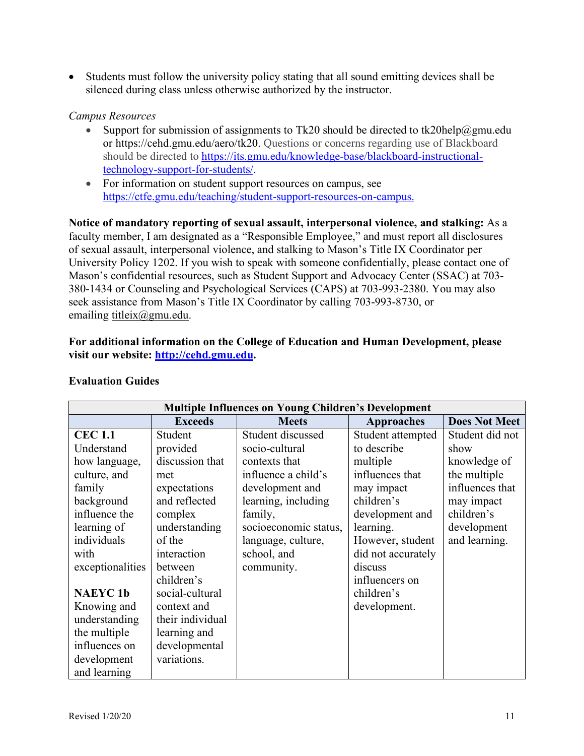• Students must follow the university policy stating that all sound emitting devices shall be silenced during class unless otherwise authorized by the instructor.

## *Campus Resources*

- Support for submission of assignments to Tk20 should be directed to tk20help@gmu.edu or https://cehd.gmu.edu/aero/tk20. Questions or concerns regarding use of Blackboard should be directed to https://its.gmu.edu/knowledge-base/blackboard-instructionaltechnology-support-for-students/.
- For information on student support resources on campus, see https://ctfe.gmu.edu/teaching/student-support-resources-on-campus.

**Notice of mandatory reporting of sexual assault, interpersonal violence, and stalking:** As a faculty member, I am designated as a "Responsible Employee," and must report all disclosures of sexual assault, interpersonal violence, and stalking to Mason's Title IX Coordinator per University Policy 1202. If you wish to speak with someone confidentially, please contact one of Mason's confidential resources, such as Student Support and Advocacy Center (SSAC) at 703- 380-1434 or Counseling and Psychological Services (CAPS) at 703-993-2380. You may also seek assistance from Mason's Title IX Coordinator by calling 703-993-8730, or emailing titleix@gmu.edu.

## **For additional information on the College of Education and Human Development, please visit our website: http://cehd.gmu.edu.**

| <b>Multiple Influences on Young Children's Development</b> |                  |                       |                    |                      |
|------------------------------------------------------------|------------------|-----------------------|--------------------|----------------------|
|                                                            | <b>Exceeds</b>   | <b>Meets</b>          | Approaches         | <b>Does Not Meet</b> |
| <b>CEC 1.1</b>                                             | Student          | Student discussed     | Student attempted  | Student did not      |
| Understand                                                 | provided         | socio-cultural        | to describe        | show                 |
| how language,                                              | discussion that  | contexts that         | multiple           | knowledge of         |
| culture, and                                               | met              | influence a child's   | influences that    | the multiple         |
| family                                                     | expectations     | development and       | may impact         | influences that      |
| background                                                 | and reflected    | learning, including   | children's         | may impact           |
| influence the                                              | complex          | family,               | development and    | children's           |
| learning of                                                | understanding    | socioeconomic status, | learning.          | development          |
| individuals                                                | of the           | language, culture,    | However, student   | and learning.        |
| with                                                       | interaction      | school, and           | did not accurately |                      |
| exceptionalities                                           | between          | community.            | discuss            |                      |
|                                                            | children's       |                       | influencers on     |                      |
| <b>NAEYC1b</b>                                             | social-cultural  |                       | children's         |                      |
| Knowing and                                                | context and      |                       | development.       |                      |
| understanding                                              | their individual |                       |                    |                      |
| the multiple                                               | learning and     |                       |                    |                      |
| influences on                                              | developmental    |                       |                    |                      |
| development                                                | variations.      |                       |                    |                      |
| and learning                                               |                  |                       |                    |                      |

## **Evaluation Guides**